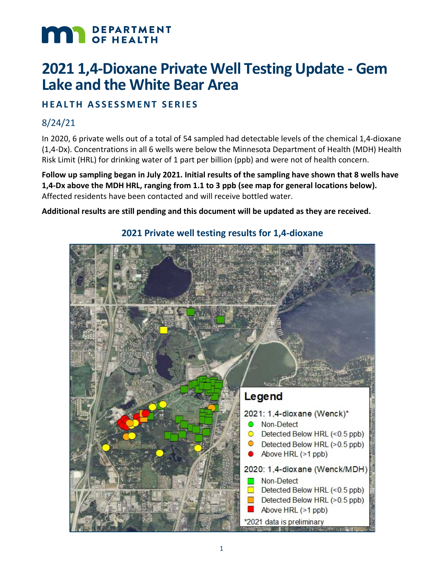# **MAR** DEPARTMENT

## **2021 1,4-Dioxane Private Well Testing Update - Gem Lake and the White Bear Area**

#### **HEALTH ASSESSMENT SERIES**

#### 8/24/21

In 2020, 6 private wells out of a total of 54 sampled had detectable levels of the chemical 1,4-dioxane (1,4-Dx). Concentrations in all 6 wells were below the Minnesota Department of Health (MDH) Health Risk Limit (HRL) for drinking water of 1 part per billion (ppb) and were not of health concern.

**Follow up sampling began in July 2021. Initial results of the sampling have shown that 8 wells have 1,4-Dx above the MDH HRL, ranging from 1.1 to 3 ppb (see map for general locations below).**  Affected residents have been contacted and will receive bottled water.

**Additional results are still pending and this document will be updated as they are received.**



#### **2021 Private well testing results for 1,4-dioxane**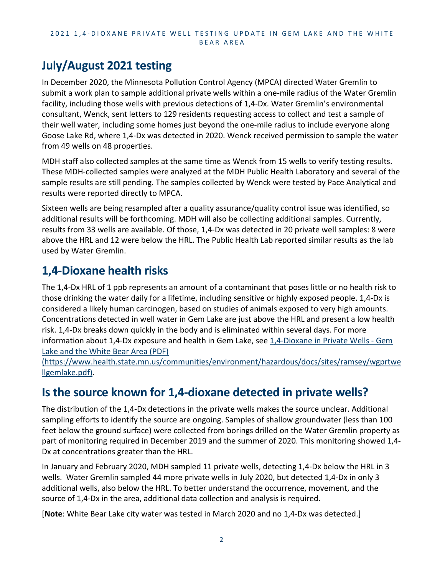#### 2021 1,4 - DIOXANE PRIVATE WELL TESTING UPDATE IN GEM LAKE AND THE WHITE BEAR AREA

## **July/August 2021 testing**

In December 2020, the Minnesota Pollution Control Agency (MPCA) directed Water Gremlin to submit a work plan to sample additional private wells within a one-mile radius of the Water Gremlin facility, including those wells with previous detections of 1,4-Dx. Water Gremlin's environmental consultant, Wenck, sent letters to 129 residents requesting access to collect and test a sample of their well water, including some homes just beyond the one-mile radius to include everyone along Goose Lake Rd, where 1,4-Dx was detected in 2020. Wenck received permission to sample the water from 49 wells on 48 properties.

MDH staff also collected samples at the same time as Wenck from 15 wells to verify testing results. These MDH-collected samples were analyzed at the MDH Public Health Laboratory and several of the sample results are still pending. The samples collected by Wenck were tested by Pace Analytical and results were reported directly to MPCA.

Sixteen wells are being resampled after a quality assurance/quality control issue was identified, so additional results will be forthcoming. MDH will also be collecting additional samples. Currently, results from 33 wells are available. Of those, 1,4-Dx was detected in 20 private well samples: 8 were above the HRL and 12 were below the HRL. The Public Health Lab reported similar results as the lab used by Water Gremlin.

## **1,4-Dioxane health risks**

The 1,4-Dx HRL of 1 ppb represents an amount of a contaminant that poses little or no health risk to those drinking the water daily for a lifetime, including sensitive or highly exposed people. 1,4-Dx is considered a likely human carcinogen, based on studies of animals exposed to very high amounts. Concentrations detected in well water in Gem Lake are just above the HRL and present a low health risk. 1,4-Dx breaks down quickly in the body and is eliminated within several days. For more information about 1,4-Dx exposure and health in Gem Lake, see [1,4-Dioxane in Private Wells -](https://www.health.state.mn.us/communities/environment/hazardous/docs/sites/ramsey/wgprtwellgemlake.pdf) Gem [Lake and the White Bear Area \(PDF\)](https://www.health.state.mn.us/communities/environment/hazardous/docs/sites/ramsey/wgprtwellgemlake.pdf) 

[\(https://www.health.state.mn.us/communities/environment/hazardous/docs/sites/ramsey/wgprtwe](https://www.health.state.mn.us/communities/environment/hazardous/docs/sites/ramsey/wgprtwellgemlake.pdf) [llgemlake.pdf\).](https://www.health.state.mn.us/communities/environment/hazardous/docs/sites/ramsey/wgprtwellgemlake.pdf)

## **Is the source known for 1,4-dioxane detected in private wells?**

The distribution of the 1,4-Dx detections in the private wells makes the source unclear. Additional sampling efforts to identify the source are ongoing. Samples of shallow groundwater (less than 100 feet below the ground surface) were collected from borings drilled on the Water Gremlin property as part of monitoring required in December 2019 and the summer of 2020. This monitoring showed 1,4- Dx at concentrations greater than the HRL.

In January and February 2020, MDH sampled 11 private wells, detecting 1,4-Dx below the HRL in 3 wells. Water Gremlin sampled 44 more private wells in July 2020, but detected 1,4-Dx in only 3 additional wells, also below the HRL. To better understand the occurrence, movement, and the source of 1,4-Dx in the area, additional data collection and analysis is required.

[**Note**: White Bear Lake city water was tested in March 2020 and no 1,4-Dx was detected.]